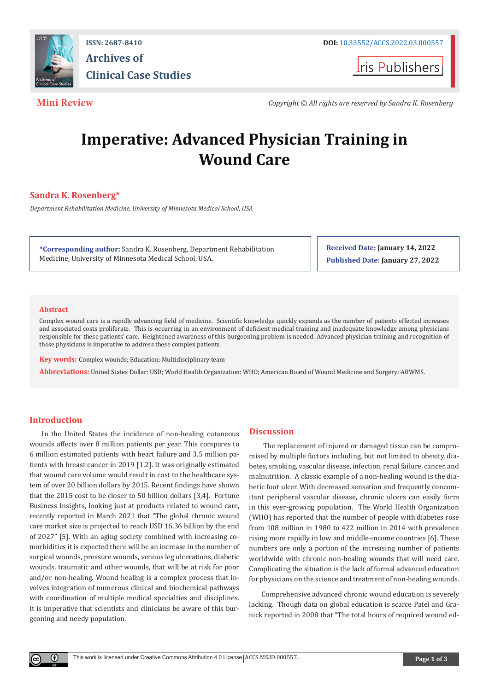

**ISSN: 2687-8410 DOI:** [10.33552/ACCS.2022.03.000557](http://dx.doi.org/10.33552/ACCS.2022.03.000557) **Archives of Clinical Case Studies** 

**Iris Publishers** 

**Mini Review** *Copyright © All rights are reserved by Sandra K. Rosenberg*

# **Imperative: Advanced Physician Training in Wound Care**

# **Sandra K. Rosenberg\***

*Department Rehabilitation Medicine, University of Minnesota Medical School, USA*

**\*Corresponding author:** Sandra K. Rosenberg, Department Rehabilitation Medicine, University of Minnesota Medical School, USA.

**Received Date: January 14, 2022 Published Date: January 27, 2022**

### **Abstract**

Complex wound care is a rapidly advancing field of medicine. Scientific knowledge quickly expands as the number of patients effected increases and associated costs proliferate. This is occurring in an environment of deficient medical training and inadequate knowledge among physicians responsible for these patients' care. Heightened awareness of this burgeoning problem is needed. Advanced physician training and recognition of those physicians is imperative to address these complex patients.

**Key words:** Complex wounds; Education; Multidisciplinary team

**Abbreviations:** United States Dollar: USD; World Health Organization: WHO; American Board of Wound Medicine and Surgery: ABWMS.

# **Introduction**

 $^{\circ}$ 

In the United States the incidence of non-healing cutaneous wounds affects over 8 million patients per year. This compares to 6 million estimated patients with heart failure and 3.5 million patients with breast cancer in 2019 [1,2]. It was originally estimated that wound care volume would result in cost to the healthcare system of over 20 billion dollars by 2015. Recent findings have shown that the 2015 cost to be closer to 50 billion dollars [3,4]. Fortune Business Insights, looking just at products related to wound care, recently reported in March 2021 that "The global chronic wound care market size is projected to reach USD 16.36 billion by the end of 2027" [5]. With an aging society combined with increasing comorbidities it is expected there will be an increase in the number of surgical wounds, pressure wounds, venous leg ulcerations, diabetic wounds, traumatic and other wounds, that will be at risk for poor and/or non-healing. Wound healing is a complex process that involves integration of numerous clinical and biochemical pathways with coordination of multiple medical specialties and disciplines. It is imperative that scientists and clinicians be aware of this burgeoning and needy population.

### **Discussion**

 The replacement of injured or damaged tissue can be compromised by multiple factors including, but not limited to obesity, diabetes, smoking, vascular disease, infection, renal failure, cancer, and malnutrition. A classic example of a non-healing wound is the diabetic foot ulcer. With decreased sensation and frequently concomitant peripheral vascular disease, chronic ulcers can easily form in this ever-growing population. The World Health Organization (WHO) has reported that the number of people with diabetes rose from 108 million in 1980 to 422 million in 2014 with prevalence rising more rapidly in low and middle-income countries [6]. These numbers are only a portion of the increasing number of patients worldwide with chronic non-healing wounds that will need care. Complicating the situation is the lack of formal advanced education for physicians on the science and treatment of non-healing wounds.

Comprehensive advanced chronic wound education is severely lacking. Though data on global education is scarce Patel and Granick reported in 2008 that "The total hours of required wound ed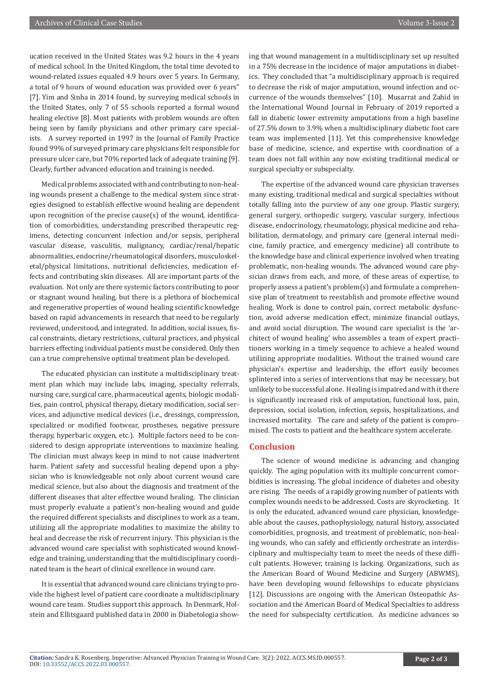ucation received in the United States was 9.2 hours in the 4 years of medical school. In the United Kingdom, the total time devoted to wound-related issues equaled 4.9 hours over 5 years. In Germany, a total of 9 hours of wound education was provided over 6 years" [7]. Yim and Sinha in 2014 found, by surveying medical schools in the United States, only 7 of 55 schools reported a formal wound healing elective [8]. Most patients with problem wounds are often being seen by family physicians and other primary care specialists. A survey reported in 1997 in the Journal of Family Practice found 99% of surveyed primary care physicians felt responsible for pressure ulcer care, but 70% reported lack of adequate training [9]. Clearly, further advanced education and training is needed.

Medical problems associated with and contributing to non-healing wounds present a challenge to the medical system since strategies designed to establish effective wound healing are dependent upon recognition of the precise cause(s) of the wound, identification of comorbidities, understanding prescribed therapeutic regimens, detecting concurrent infection and/or sepsis, peripheral vascular disease, vasculitis, malignancy, cardiac/renal/hepatic abnormalities, endocrine/rheumatological disorders, musculoskeletal/physical limitations, nutritional deficiencies, medication effects and contributing skin diseases. All are important parts of the evaluation. Not only are there systemic factors contributing to poor or stagnant wound healing, but there is a plethora of biochemical and regenerative properties of wound healing scientific knowledge based on rapid advancements in research that need to be regularly reviewed, understood, and integrated. In addition, social issues, fiscal constraints, dietary restrictions, cultural practices, and physical barriers effecting individual patients must be considered. Only then can a true comprehensive optimal treatment plan be developed.

The educated physician can institute a multidisciplinary treatment plan which may include labs, imaging, specialty referrals, nursing care, surgical care, pharmaceutical agents, biologic modalities, pain control, physical therapy, dietary modification, social services, and adjunctive medical devices (i.e., dressings, compression, specialized or modified footwear, prostheses, negative pressure therapy, hyperbaric oxygen, etc.). Multiple factors need to be considered to design appropriate interventions to maximize healing. The clinician must always keep in mind to not cause inadvertent harm. Patient safety and successful healing depend upon a physician who is knowledgeable not only about current wound care medical science, but also about the diagnosis and treatment of the different diseases that alter effective wound healing. The clinician must properly evaluate a patient's non-healing wound and guide the required different specialists and disciplines to work as a team, utilizing all the appropriate modalities to maximize the ability to heal and decrease the risk of recurrent injury. This physician is the advanced wound care specialist with sophisticated wound knowledge and training, understanding that the multidisciplinary coordinated team is the heart of clinical excellence in wound care.

It is essential that advanced wound care clinicians trying to provide the highest level of patient care coordinate a multidisciplinary wound care team. Studies support this approach. In Denmark, Holstein and Ellitsgaard published data in 2000 in Diabetologia showing that wound management in a multidisciplinary set up resulted in a 75% decrease in the incidence of major amputations in diabetics. They concluded that "a multidisciplinary approach is required to decrease the risk of major amputation, wound infection and occurrence of the wounds themselves" [10]. Musarrat and Zahid in the International Wound Journal in February of 2019 reported a fall in diabetic lower extremity amputations from a high baseline of 27.5% down to 3.9% when a multidisciplinary diabetic foot care team was implemented [11]. Yet this comprehensive knowledge base of medicine, science, and expertise with coordination of a team does not fall within any now existing traditional medical or surgical specialty or subspecialty.

The expertise of the advanced wound care physician traverses many existing, traditional medical and surgical specialties without totally falling into the purview of any one group. Plastic surgery, general surgery, orthopedic surgery, vascular surgery, infectious disease, endocrinology, rheumatology, physical medicine and rehabilitation, dermatology, and primary care (general internal medicine, family practice, and emergency medicine) all contribute to the knowledge base and clinical experience involved when treating problematic, non-healing wounds. The advanced wound care physician draws from each, and more, of these areas of expertise, to properly assess a patient's problem(s) and formulate a comprehensive plan of treatment to reestablish and promote effective wound healing. Work is done to control pain, correct metabolic dysfunction, avoid adverse medication effect, minimize financial outlays, and avoid social disruption. The wound care specialist is the 'architect of wound healing' who assembles a team of expert practitioners working in a timely sequence to achieve a healed wound utilizing appropriate modalities. Without the trained wound care physician's expertise and leadership, the effort easily becomes splintered into a series of interventions that may be necessary, but unlikely to be successful alone. Healing is impaired and with it there is significantly increased risk of amputation, functional loss, pain, depression, social isolation, infection, sepsis, hospitalizations, and increased mortality. The care and safety of the patient is compromised. The costs to patient and the healthcare system accelerate.

# **Conclusion**

The science of wound medicine is advancing and changing quickly. The aging population with its multiple concurrent comorbidities is increasing. The global incidence of diabetes and obesity are rising. The needs of a rapidly growing number of patients with complex wounds needs to be addressed. Costs are skyrocketing. It is only the educated, advanced wound care physician, knowledgeable about the causes, pathophysiology, natural history, associated comorbidities, prognosis, and treatment of problematic, non-healing wounds, who can safely and efficiently orchestrate an interdisciplinary and multispecialty team to meet the needs of these difficult patients. However, training is lacking. Organizations, such as the American Board of Wound Medicine and Surgery (ABWMS), have been developing wound fellowships to educate physicians [12]. Discussions are ongoing with the American Osteopathic Association and the American Board of Medical Specialties to address the need for subspecialty certification. As medicine advances so